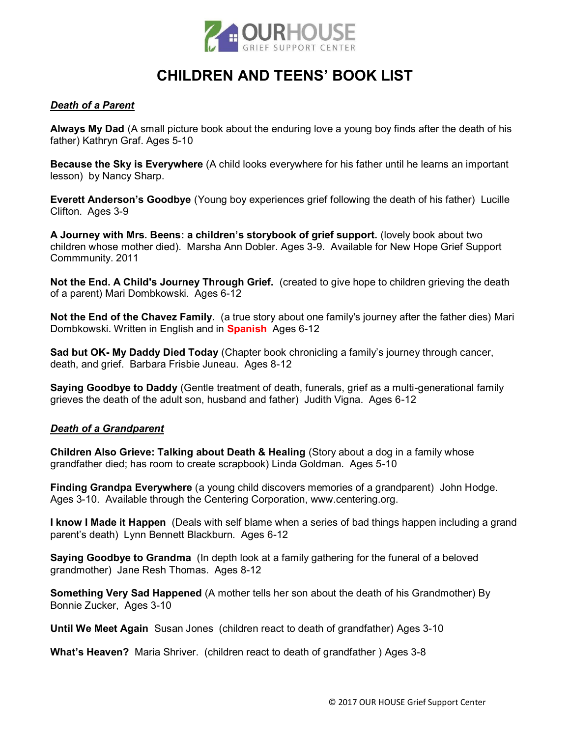

# **CHILDREN AND TEENS' BOOK LIST**

## *Death of a Parent*

**Always My Dad** (A small picture book about the enduring love a young boy finds after the death of his father) Kathryn Graf. Ages 5-10

**Because the Sky is Everywhere** (A child looks everywhere for his father until he learns an important lesson) by Nancy Sharp.

**Everett Anderson's Goodbye** (Young boy experiences grief following the death of his father) Lucille Clifton. Ages 3-9

**A Journey with Mrs. Beens: a children's storybook of grief support.** (lovely book about two children whose mother died). Marsha Ann Dobler. Ages 3-9. Available for New Hope Grief Support Commmunity. 2011

**Not the End. A Child's Journey Through Grief.** (created to give hope to children grieving the death of a parent) Mari Dombkowski. Ages 6-12

**Not the End of the Chavez Family.** (a true story about one family's journey after the father dies) Mari Dombkowski. Written in English and in **Spanish** Ages 6-12

**Sad but OK- My Daddy Died Today** (Chapter book chronicling a family's journey through cancer, death, and grief. Barbara Frisbie Juneau. Ages 8-12

**Saying Goodbye to Daddy** (Gentle treatment of death, funerals, grief as a multi-generational family grieves the death of the adult son, husband and father) Judith Vigna. Ages 6-12

### *Death of a Grandparent*

**Children Also Grieve: Talking about Death & Healing** (Story about a dog in a family whose grandfather died; has room to create scrapbook) Linda Goldman. Ages 5-10

**Finding Grandpa Everywhere** (a young child discovers memories of a grandparent) John Hodge. Ages 3-10. Available through the Centering Corporation, www.centering.org.

**I know I Made it Happen** (Deals with self blame when a series of bad things happen including a grand parent's death) Lynn Bennett Blackburn. Ages 6-12

**Saying Goodbye to Grandma** (In depth look at a family gathering for the funeral of a beloved grandmother) Jane Resh Thomas. Ages 8-12

**Something Very Sad Happened** (A mother tells her son about the death of his Grandmother) By Bonnie Zucker, Ages 3-10

**Until We Meet Again** Susan Jones (children react to death of grandfather) Ages 3-10

**What's Heaven?** Maria Shriver. (children react to death of grandfather ) Ages 3-8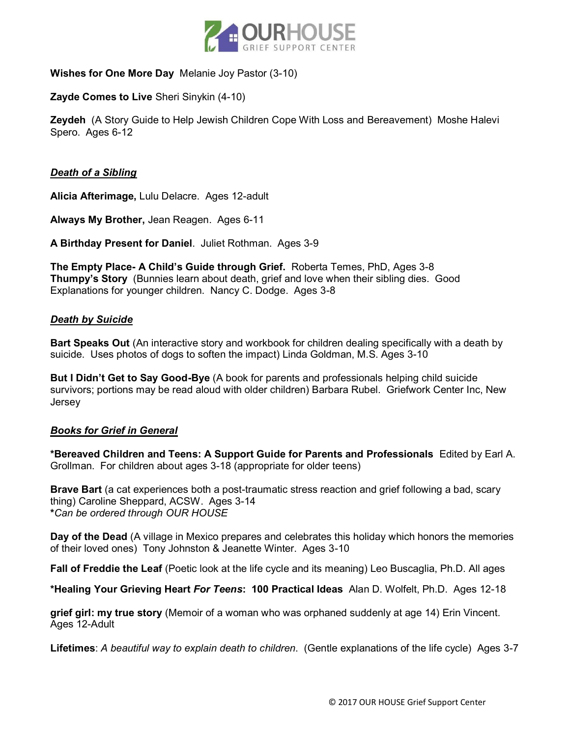

## **Wishes for One More Day** Melanie Joy Pastor (3-10)

## **Zayde Comes to Live** Sheri Sinykin (4-10)

**Zeydeh** (A Story Guide to Help Jewish Children Cope With Loss and Bereavement) Moshe Halevi Spero. Ages 6-12

## *Death of a Sibling*

**Alicia Afterimage,** Lulu Delacre. Ages 12-adult

**Always My Brother,** Jean Reagen. Ages 6-11

**A Birthday Present for Daniel**. Juliet Rothman. Ages 3-9

**The Empty Place- A Child's Guide through Grief.** Roberta Temes, PhD, Ages 3-8 **Thumpy's Story** (Bunnies learn about death, grief and love when their sibling dies. Good Explanations for younger children. Nancy C. Dodge. Ages 3-8

## *Death by Suicide*

**Bart Speaks Out** (An interactive story and workbook for children dealing specifically with a death by suicide. Uses photos of dogs to soften the impact) Linda Goldman, M.S. Ages 3-10

**But I Didn't Get to Say Good-Bye** (A book for parents and professionals helping child suicide survivors; portions may be read aloud with older children) Barbara Rubel. Griefwork Center Inc, New Jersey

### *Books for Grief in General*

**\*Bereaved Children and Teens: A Support Guide for Parents and Professionals** Edited by Earl A. Grollman. For children about ages 3-18 (appropriate for older teens)

**Brave Bart** (a cat experiences both a post-traumatic stress reaction and grief following a bad, scary thing) Caroline Sheppard, ACSW. Ages 3-14 **\****Can be ordered through OUR HOUSE*

**Day of the Dead** (A village in Mexico prepares and celebrates this holiday which honors the memories of their loved ones) Tony Johnston & Jeanette Winter. Ages 3-10

**Fall of Freddie the Leaf** (Poetic look at the life cycle and its meaning) Leo Buscaglia, Ph.D. All ages

**\*Healing Your Grieving Heart** *For Teens***: 100 Practical Ideas** Alan D. Wolfelt, Ph.D. Ages 12-18

**grief girl: my true story** (Memoir of a woman who was orphaned suddenly at age 14) Erin Vincent. Ages 12-Adult

**Lifetimes**: *A beautiful way to explain death to children*. (Gentle explanations of the life cycle) Ages 3-7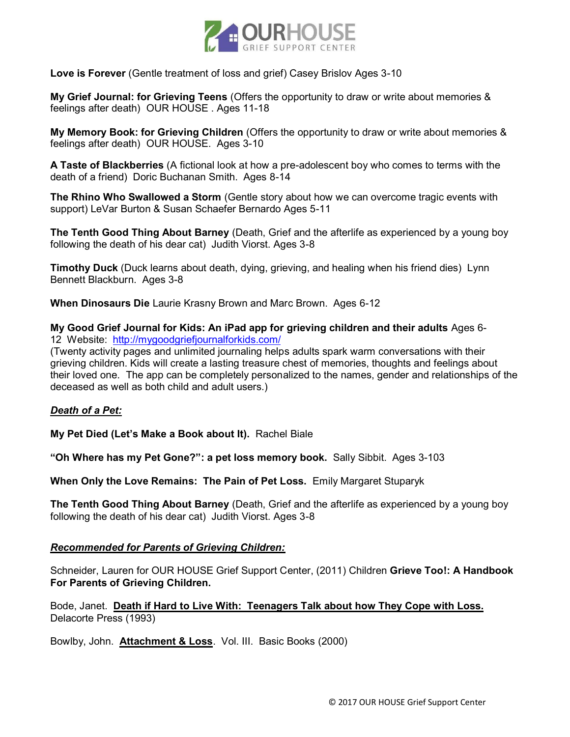

## **Love is Forever** (Gentle treatment of loss and grief) Casey Brislov Ages 3-10

**My Grief Journal: for Grieving Teens** (Offers the opportunity to draw or write about memories & feelings after death) OUR HOUSE . Ages 11-18

**My Memory Book: for Grieving Children** (Offers the opportunity to draw or write about memories & feelings after death) OUR HOUSE. Ages 3-10

**A Taste of Blackberries** (A fictional look at how a pre-adolescent boy who comes to terms with the death of a friend) Doric Buchanan Smith. Ages 8-14

**The Rhino Who Swallowed a Storm** (Gentle story about how we can overcome tragic events with support) LeVar Burton & Susan Schaefer Bernardo Ages 5-11

**The Tenth Good Thing About Barney** (Death, Grief and the afterlife as experienced by a young boy following the death of his dear cat) Judith Viorst. Ages 3-8

**Timothy Duck** (Duck learns about death, dying, grieving, and healing when his friend dies) Lynn Bennett Blackburn. Ages 3-8

**When Dinosaurs Die** Laurie Krasny Brown and Marc Brown. Ages 6-12

**My Good Grief Journal for Kids: An iPad app for grieving children and their adults** Ages 6- 12 Website: http://mygoodgriefjournalforkids.com/

(Twenty activity pages and unlimited journaling helps adults spark warm conversations with their grieving children. Kids will create a lasting treasure chest of memories, thoughts and feelings about their loved one. The app can be completely personalized to the names, gender and relationships of the deceased as well as both child and adult users.)

## *Death of a Pet:*

**My Pet Died (Let's Make a Book about It).** Rachel Biale

**"Oh Where has my Pet Gone?": a pet loss memory book.** Sally Sibbit. Ages 3-103

**When Only the Love Remains: The Pain of Pet Loss.** Emily Margaret Stuparyk

**The Tenth Good Thing About Barney** (Death, Grief and the afterlife as experienced by a young boy following the death of his dear cat) Judith Viorst. Ages 3-8

## *Recommended for Parents of Grieving Children:*

Schneider, Lauren for OUR HOUSE Grief Support Center, (2011) Children **Grieve Too!: A Handbook For Parents of Grieving Children.** 

Bode, Janet. **Death if Hard to Live With: Teenagers Talk about how They Cope with Loss.** Delacorte Press (1993)

Bowlby, John. **Attachment & Loss**. Vol. III. Basic Books (2000)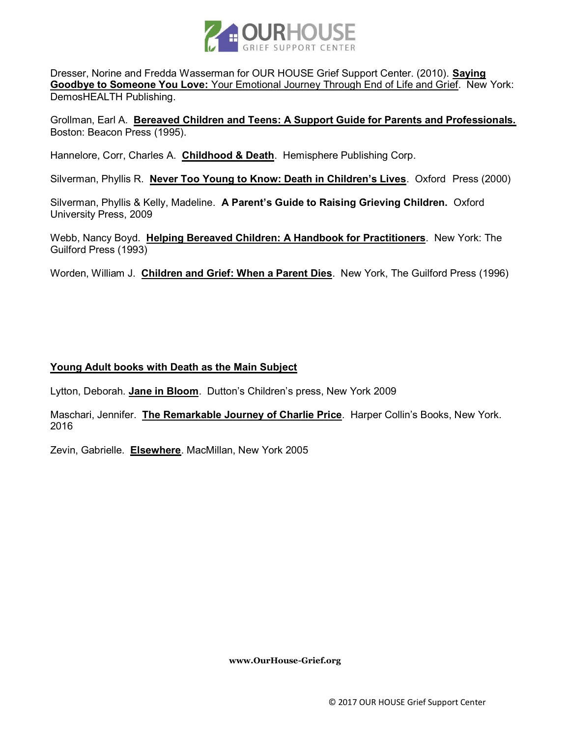

Dresser, Norine and Fredda Wasserman for OUR HOUSE Grief Support Center. (2010). **Saying Goodbye to Someone You Love:** Your Emotional Journey Through End of Life and Grief. New York: DemosHEALTH Publishing.

Grollman, Earl A. **Bereaved Children and Teens: A Support Guide for Parents and Professionals.** Boston: Beacon Press (1995).

Hannelore, Corr, Charles A. **Childhood & Death**. Hemisphere Publishing Corp.

Silverman, Phyllis R. **Never Too Young to Know: Death in Children's Lives**. Oxford Press (2000)

Silverman, Phyllis & Kelly, Madeline. **A Parent's Guide to Raising Grieving Children.** Oxford University Press, 2009

Webb, Nancy Boyd. **Helping Bereaved Children: A Handbook for Practitioners**. New York: The Guilford Press (1993)

Worden, William J. **Children and Grief: When a Parent Dies**. New York, The Guilford Press (1996)

## **Young Adult books with Death as the Main Subject**

Lytton, Deborah. **Jane in Bloom**. Dutton's Children's press, New York 2009

Maschari, Jennifer. **The Remarkable Journey of Charlie Price**. Harper Collin's Books, New York. 2016

Zevin, Gabrielle. **Elsewhere**. MacMillan, New York 2005

**www.OurHouse-Grief.org**